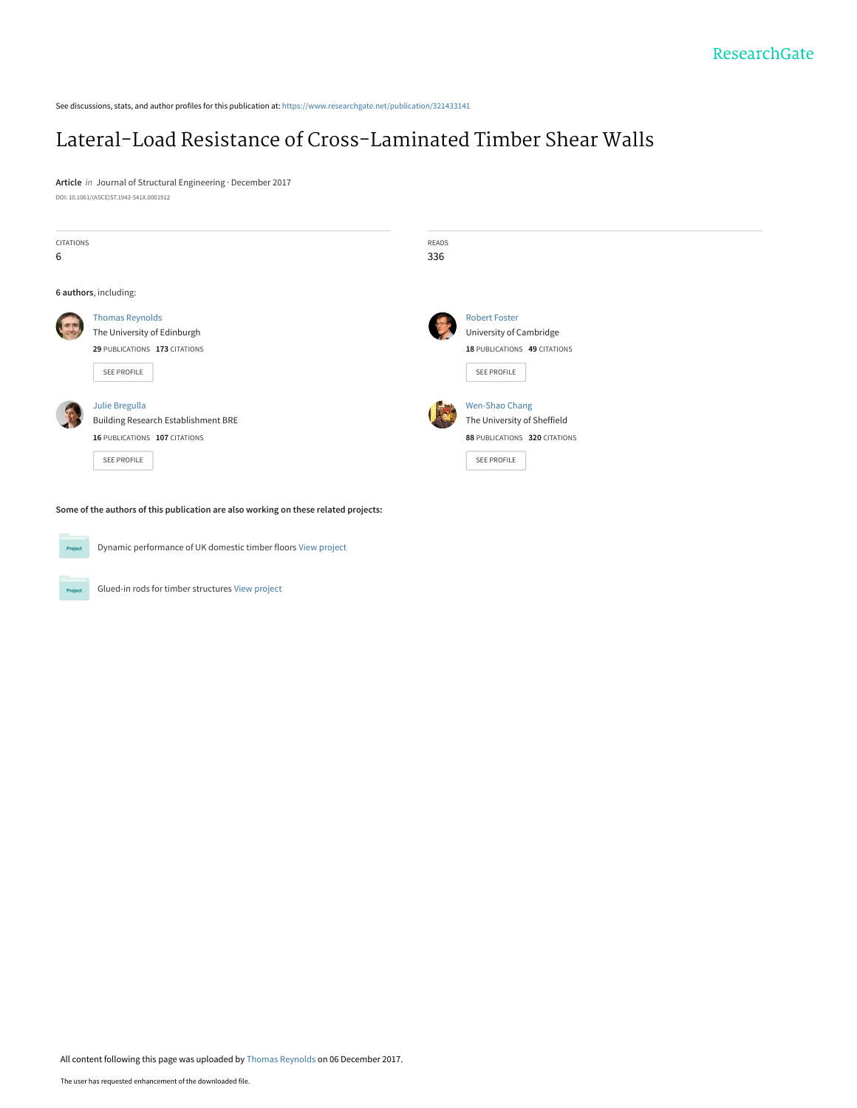See discussions, stats, and author profiles for this publication at: [https://www.researchgate.net/publication/321433141](https://www.researchgate.net/publication/321433141_Lateral-Load_Resistance_of_Cross-Laminated_Timber_Shear_Walls?enrichId=rgreq-7f4055efe710d30423e1b49710a29119-XXX&enrichSource=Y292ZXJQYWdlOzMyMTQzMzE0MTtBUzo1Njg0ODE4NjQ4NTE0NTZAMTUxMjU0ODA0NjQ4Ng%3D%3D&el=1_x_2&_esc=publicationCoverPdf)

# [Lateral-Load Resistance of Cross-Laminated Timber Shear Walls](https://www.researchgate.net/publication/321433141_Lateral-Load_Resistance_of_Cross-Laminated_Timber_Shear_Walls?enrichId=rgreq-7f4055efe710d30423e1b49710a29119-XXX&enrichSource=Y292ZXJQYWdlOzMyMTQzMzE0MTtBUzo1Njg0ODE4NjQ4NTE0NTZAMTUxMjU0ODA0NjQ4Ng%3D%3D&el=1_x_3&_esc=publicationCoverPdf)

**Article** in Journal of Structural Engineering · December 2017 DOI: 10.1061/(ASCE)ST.1943-541X.0001912

| <b>CITATIONS</b><br>6 |                                                                                                              | READS<br>336 |                                                                                                       |  |
|-----------------------|--------------------------------------------------------------------------------------------------------------|--------------|-------------------------------------------------------------------------------------------------------|--|
|                       | 6 authors, including:                                                                                        |              |                                                                                                       |  |
|                       | <b>Thomas Reynolds</b><br>The University of Edinburgh<br>29 PUBLICATIONS 173 CITATIONS<br>SEE PROFILE        |              | <b>Robert Foster</b><br>University of Cambridge<br>18 PUBLICATIONS 49 CITATIONS<br><b>SEE PROFILE</b> |  |
|                       | Julie Bregulla<br><b>Building Research Establishment BRE</b><br>16 PUBLICATIONS 107 CITATIONS<br>SEE PROFILE |              | Wen-Shao Chang<br>The University of Sheffield<br>88 PUBLICATIONS 320 CITATIONS<br><b>SEE PROFILE</b>  |  |

**Some of the authors of this publication are also working on these related projects:**



Project

Dynamic performance of UK domestic timber floors [View project](https://www.researchgate.net/project/Dynamic-performance-of-UK-domestic-timber-floors?enrichId=rgreq-7f4055efe710d30423e1b49710a29119-XXX&enrichSource=Y292ZXJQYWdlOzMyMTQzMzE0MTtBUzo1Njg0ODE4NjQ4NTE0NTZAMTUxMjU0ODA0NjQ4Ng%3D%3D&el=1_x_9&_esc=publicationCoverPdf)

Glued-in rods for timber structures [View project](https://www.researchgate.net/project/Glued-in-rods-for-timber-structures?enrichId=rgreq-7f4055efe710d30423e1b49710a29119-XXX&enrichSource=Y292ZXJQYWdlOzMyMTQzMzE0MTtBUzo1Njg0ODE4NjQ4NTE0NTZAMTUxMjU0ODA0NjQ4Ng%3D%3D&el=1_x_9&_esc=publicationCoverPdf)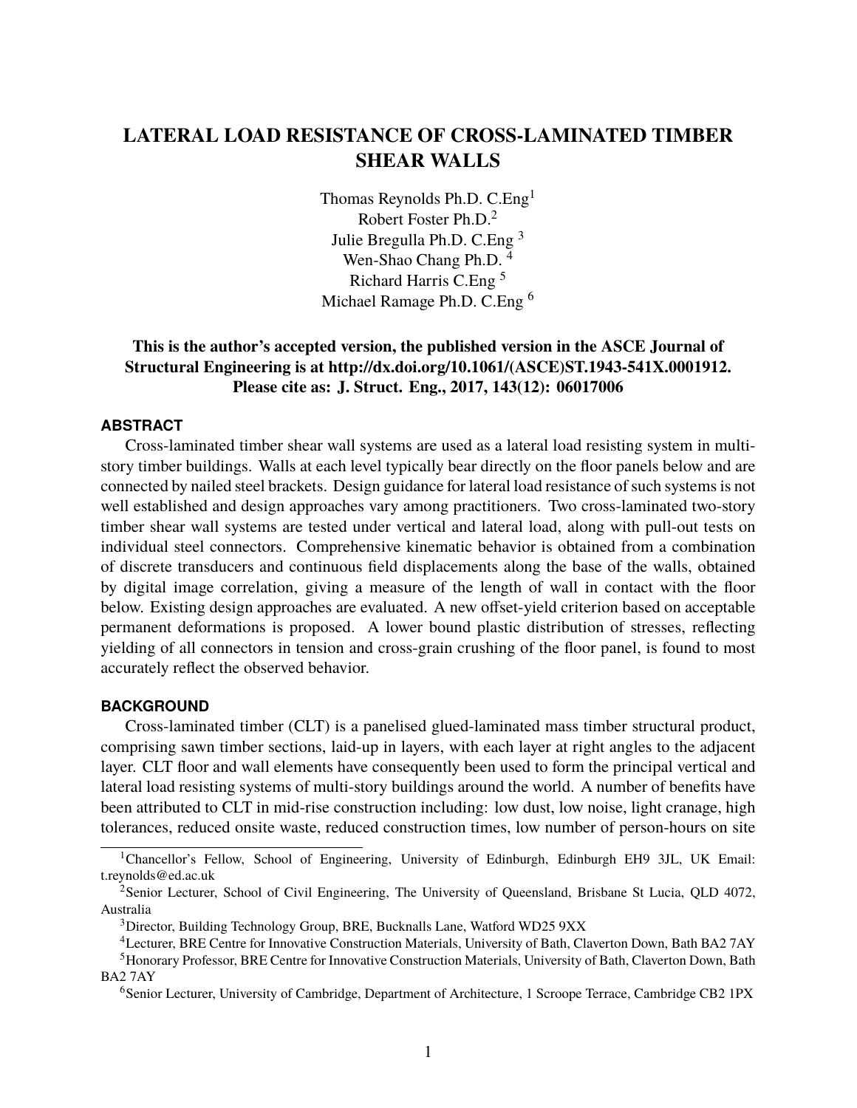## **LATERAL LOAD RESISTANCE OF CROSS-LAMINATED TIMBER SHEAR WALLS**

Thomas Reynolds Ph.D. C.Eng<sup>1</sup> Robert Foster Ph.D.<sup>2</sup> Julie Bregulla Ph.D. C.Eng <sup>3</sup> Wen-Shao Chang Ph.D.<sup>4</sup> Richard Harris C.Eng <sup>5</sup> Michael Ramage Ph.D. C.Eng <sup>6</sup>

## **This is the author's accepted version, the published version in the ASCE Journal of Structural Engineering is at http://dx.doi.org/10.1061/(ASCE)ST.1943-541X.0001912. Please cite as: J. Struct. Eng., 2017, 143(12): 06017006**

## **ABSTRACT**

Cross-laminated timber shear wall systems are used as a lateral load resisting system in multistory timber buildings. Walls at each level typically bear directly on the floor panels below and are connected by nailed steel brackets. Design guidance for lateral load resistance of such systems is not well established and design approaches vary among practitioners. Two cross-laminated two-story timber shear wall systems are tested under vertical and lateral load, along with pull-out tests on individual steel connectors. Comprehensive kinematic behavior is obtained from a combination of discrete transducers and continuous field displacements along the base of the walls, obtained by digital image correlation, giving a measure of the length of wall in contact with the floor below. Existing design approaches are evaluated. A new offset-yield criterion based on acceptable permanent deformations is proposed. A lower bound plastic distribution of stresses, reflecting yielding of all connectors in tension and cross-grain crushing of the floor panel, is found to most accurately reflect the observed behavior.

## **BACKGROUND**

Cross-laminated timber (CLT) is a panelised glued-laminated mass timber structural product, comprising sawn timber sections, laid-up in layers, with each layer at right angles to the adjacent layer. CLT floor and wall elements have consequently been used to form the principal vertical and lateral load resisting systems of multi-story buildings around the world. A number of benefits have been attributed to CLT in mid-rise construction including: low dust, low noise, light cranage, high tolerances, reduced onsite waste, reduced construction times, low number of person-hours on site

<sup>&</sup>lt;sup>1</sup>Chancellor's Fellow, School of Engineering, University of Edinburgh, Edinburgh EH9 3JL, UK Email: t.reynolds@ed.ac.uk

<sup>&</sup>lt;sup>2</sup>Senior Lecturer, School of Civil Engineering, The University of Queensland, Brisbane St Lucia, QLD 4072, Australia

<sup>&</sup>lt;sup>3</sup>Director, Building Technology Group, BRE, Bucknalls Lane, Watford WD25 9XX

<sup>4</sup>Lecturer, BRE Centre for Innovative Construction Materials, University of Bath, Claverton Down, Bath BA2 7AY

<sup>5</sup>Honorary Professor, BRE Centre for Innovative Construction Materials, University of Bath, Claverton Down, Bath BA2 7AY

<sup>6</sup>Senior Lecturer, University of Cambridge, Department of Architecture, 1 Scroope Terrace, Cambridge CB2 1PX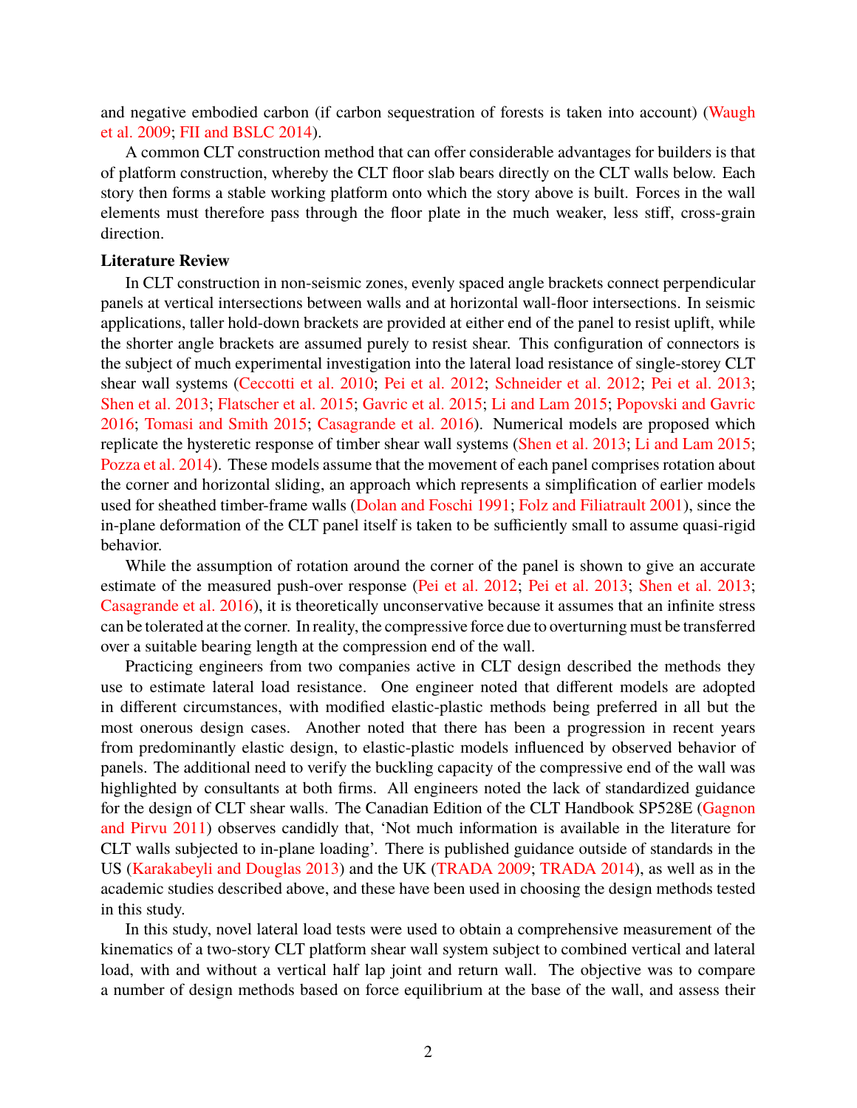and negative embodied carbon (if carbon sequestration of forests is taken into account) [\(Waugh](#page-10-0) [et al. 2009;](#page-10-0) [FII and BSLC 2014\)](#page-10-1).

A common CLT construction method that can offer considerable advantages for builders is that of platform construction, whereby the CLT floor slab bears directly on the CLT walls below. Each story then forms a stable working platform onto which the story above is built. Forces in the wall elements must therefore pass through the floor plate in the much weaker, less stiff, cross-grain direction.

## **Literature Review**

In CLT construction in non-seismic zones, evenly spaced angle brackets connect perpendicular panels at vertical intersections between walls and at horizontal wall-floor intersections. In seismic applications, taller hold-down brackets are provided at either end of the panel to resist uplift, while the shorter angle brackets are assumed purely to resist shear. This configuration of connectors is the subject of much experimental investigation into the lateral load resistance of single-storey CLT shear wall systems [\(Ceccotti et al. 2010;](#page-9-0) [Pei et al. 2012;](#page-10-2) [Schneider et al. 2012;](#page-10-3) [Pei et al. 2013;](#page-10-4) [Shen et al. 2013;](#page-10-5) [Flatscher et al. 2015;](#page-10-6) [Gavric et al. 2015;](#page-10-7) [Li and Lam 2015;](#page-10-8) [Popovski and Gavric](#page-10-9) [2016;](#page-10-9) [Tomasi and Smith 2015;](#page-10-10) [Casagrande et al. 2016\)](#page-9-1). Numerical models are proposed which replicate the hysteretic response of timber shear wall systems [\(Shen et al. 2013;](#page-10-5) [Li and Lam 2015;](#page-10-8) [Pozza et al. 2014\)](#page-10-11). These models assume that the movement of each panel comprises rotation about the corner and horizontal sliding, an approach which represents a simplification of earlier models used for sheathed timber-frame walls [\(Dolan and Foschi 1991;](#page-9-2) [Folz and Filiatrault 2001\)](#page-10-12), since the in-plane deformation of the CLT panel itself is taken to be sufficiently small to assume quasi-rigid behavior.

While the assumption of rotation around the corner of the panel is shown to give an accurate estimate of the measured push-over response [\(Pei et al. 2012;](#page-10-2) [Pei et al. 2013;](#page-10-4) [Shen et al. 2013;](#page-10-5) [Casagrande et al. 2016\)](#page-9-1), it is theoretically unconservative because it assumes that an infinite stress can be tolerated at the corner. In reality, the compressive force due to overturning must be transferred over a suitable bearing length at the compression end of the wall.

Practicing engineers from two companies active in CLT design described the methods they use to estimate lateral load resistance. One engineer noted that different models are adopted in different circumstances, with modified elastic-plastic methods being preferred in all but the most onerous design cases. Another noted that there has been a progression in recent years from predominantly elastic design, to elastic-plastic models influenced by observed behavior of panels. The additional need to verify the buckling capacity of the compressive end of the wall was highlighted by consultants at both firms. All engineers noted the lack of standardized guidance for the design of CLT shear walls. The Canadian Edition of the CLT Handbook SP528E [\(Gagnon](#page-10-13) [and Pirvu 2011\)](#page-10-13) observes candidly that, 'Not much information is available in the literature for CLT walls subjected to in-plane loading'. There is published guidance outside of standards in the US [\(Karakabeyli and Douglas 2013\)](#page-10-14) and the UK [\(TRADA 2009;](#page-10-15) [TRADA 2014\)](#page-10-16), as well as in the academic studies described above, and these have been used in choosing the design methods tested in this study.

In this study, novel lateral load tests were used to obtain a comprehensive measurement of the kinematics of a two-story CLT platform shear wall system subject to combined vertical and lateral load, with and without a vertical half lap joint and return wall. The objective was to compare a number of design methods based on force equilibrium at the base of the wall, and assess their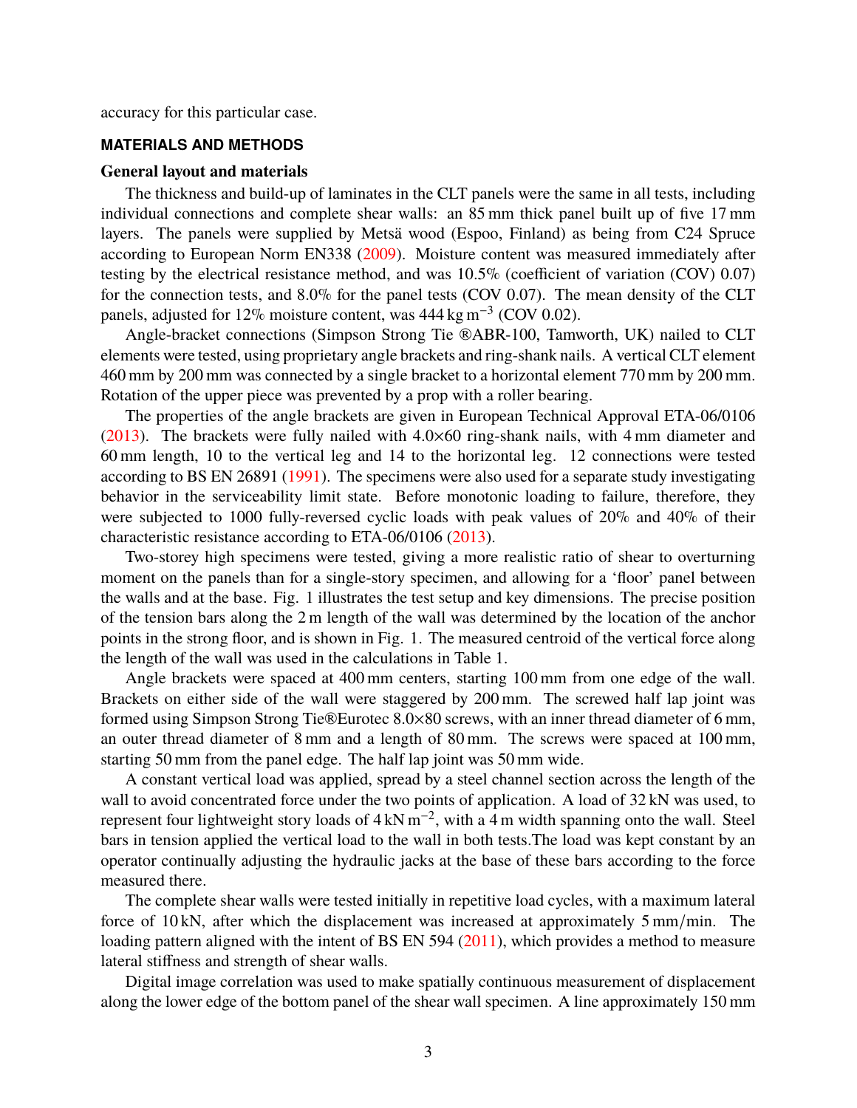accuracy for this particular case.

## **MATERIALS AND METHODS**

#### **General layout and materials**

The thickness and build-up of laminates in the CLT panels were the same in all tests, including individual connections and complete shear walls: an 85 mm thick panel built up of five 17 mm layers. The panels were supplied by Metsä wood (Espoo, Finland) as being from C24 Spruce according to European Norm EN338 [\(2009\)](#page-9-3). Moisture content was measured immediately after testing by the electrical resistance method, and was 10.5% (coefficient of variation (COV) 0.07) for the connection tests, and 8.0% for the panel tests (COV 0.07). The mean density of the CLT panels, adjusted for 12% moisture content, was  $444 \text{ kg m}^{-3}$  (COV 0.02).

Angle-bracket connections (Simpson Strong Tie ®ABR-100, Tamworth, UK) nailed to CLT elements were tested, using proprietary angle brackets and ring-shank nails. A vertical CLT element 460 mm by 200 mm was connected by a single bracket to a horizontal element 770 mm by 200 mm. Rotation of the upper piece was prevented by a prop with a roller bearing.

The properties of the angle brackets are given in European Technical Approval ETA-06/0106 [\(2013\)](#page-10-17). The brackets were fully nailed with  $4.0\times60$  ring-shank nails, with 4 mm diameter and 60 mm length, 10 to the vertical leg and 14 to the horizontal leg. 12 connections were tested according to BS EN 26891 [\(1991\)](#page-9-4). The specimens were also used for a separate study investigating behavior in the serviceability limit state. Before monotonic loading to failure, therefore, they were subjected to 1000 fully-reversed cyclic loads with peak values of 20% and 40% of their characteristic resistance according to ETA-06/0106 [\(2013\)](#page-10-17).

Two-storey high specimens were tested, giving a more realistic ratio of shear to overturning moment on the panels than for a single-story specimen, and allowing for a 'floor' panel between the walls and at the base. Fig. [1](#page-4-0) illustrates the test setup and key dimensions. The precise position of the tension bars along the 2 m length of the wall was determined by the location of the anchor points in the strong floor, and is shown in Fig. [1.](#page-4-0) The measured centroid of the vertical force along the length of the wall was used in the calculations in Table [1.](#page-6-0)

Angle brackets were spaced at 400 mm centers, starting 100 mm from one edge of the wall. Brackets on either side of the wall were staggered by 200 mm. The screwed half lap joint was formed using Simpson Strong Tie®Eurotec 8.0×80 screws, with an inner thread diameter of 6 mm, an outer thread diameter of 8 mm and a length of 80 mm. The screws were spaced at 100 mm, starting 50 mm from the panel edge. The half lap joint was 50 mm wide.

A constant vertical load was applied, spread by a steel channel section across the length of the wall to avoid concentrated force under the two points of application. A load of  $32 \text{kN}$  was used, to represent four lightweight story loads of  $4 \text{ kN m}^{-2}$ , with a 4 m width spanning onto the wall. Steel bars in tension applied the vertical load to the wall in both tests.The load was kept constant by an operator continually adjusting the hydraulic jacks at the base of these bars according to the force measured there.

The complete shear walls were tested initially in repetitive load cycles, with a maximum lateral force of 10 kN, after which the displacement was increased at approximately 5 mm/min. The loading pattern aligned with the intent of BS EN 594 [\(2011\)](#page-9-5), which provides a method to measure lateral stiffness and strength of shear walls.

Digital image correlation was used to make spatially continuous measurement of displacement along the lower edge of the bottom panel of the shear wall specimen. A line approximately 150 mm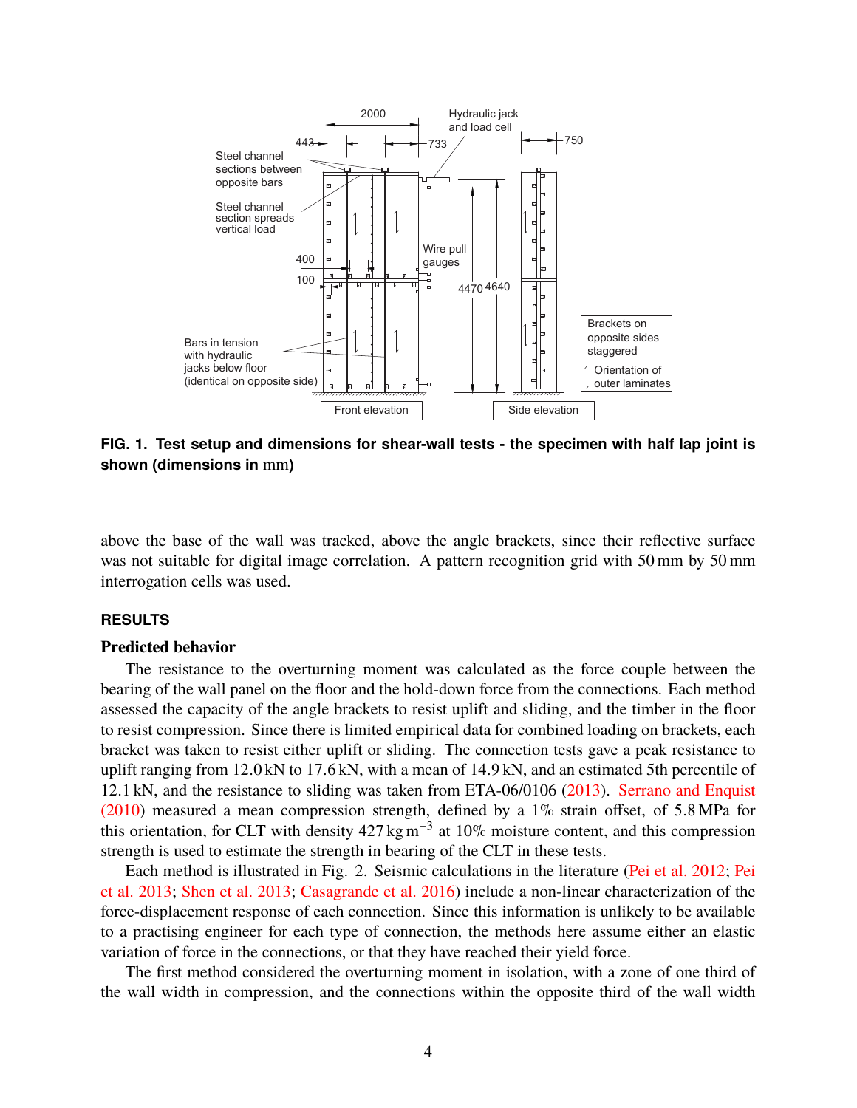

<span id="page-4-0"></span>**FIG. 1. Test setup and dimensions for shear-wall tests - the specimen with half lap joint is shown (dimensions in** mm**)**

above the base of the wall was tracked, above the angle brackets, since their reflective surface was not suitable for digital image correlation. A pattern recognition grid with 50 mm by 50 mm interrogation cells was used.

#### **RESULTS**

## **Predicted behavior**

The resistance to the overturning moment was calculated as the force couple between the bearing of the wall panel on the floor and the hold-down force from the connections. Each method assessed the capacity of the angle brackets to resist uplift and sliding, and the timber in the floor to resist compression. Since there is limited empirical data for combined loading on brackets, each bracket was taken to resist either uplift or sliding. The connection tests gave a peak resistance to uplift ranging from <sup>12</sup>.0 kN to <sup>17</sup>.6 kN, with a mean of <sup>14</sup>.9 kN, and an estimated 5th percentile of <sup>12</sup>.1 kN, and the resistance to sliding was taken from ETA-06/0106 [\(2013\)](#page-10-17). [Serrano and Enquist](#page-10-18) [\(2010\)](#page-10-18) measured a mean compression strength, defined by a 1% strain offset, of <sup>5</sup>.8 MPa for this orientation, for CLT with density  $427 \text{ kg m}^{-3}$  at 10% moisture content, and this compression strength is used to estimate the strength in bearing of the CLT in these tests.

Each method is illustrated in Fig. [2.](#page-5-0) Seismic calculations in the literature [\(Pei et al. 2012;](#page-10-2) [Pei](#page-10-4) [et al. 2013;](#page-10-4) [Shen et al. 2013;](#page-10-5) [Casagrande et al. 2016\)](#page-9-1) include a non-linear characterization of the force-displacement response of each connection. Since this information is unlikely to be available to a practising engineer for each type of connection, the methods here assume either an elastic variation of force in the connections, or that they have reached their yield force.

The first method considered the overturning moment in isolation, with a zone of one third of the wall width in compression, and the connections within the opposite third of the wall width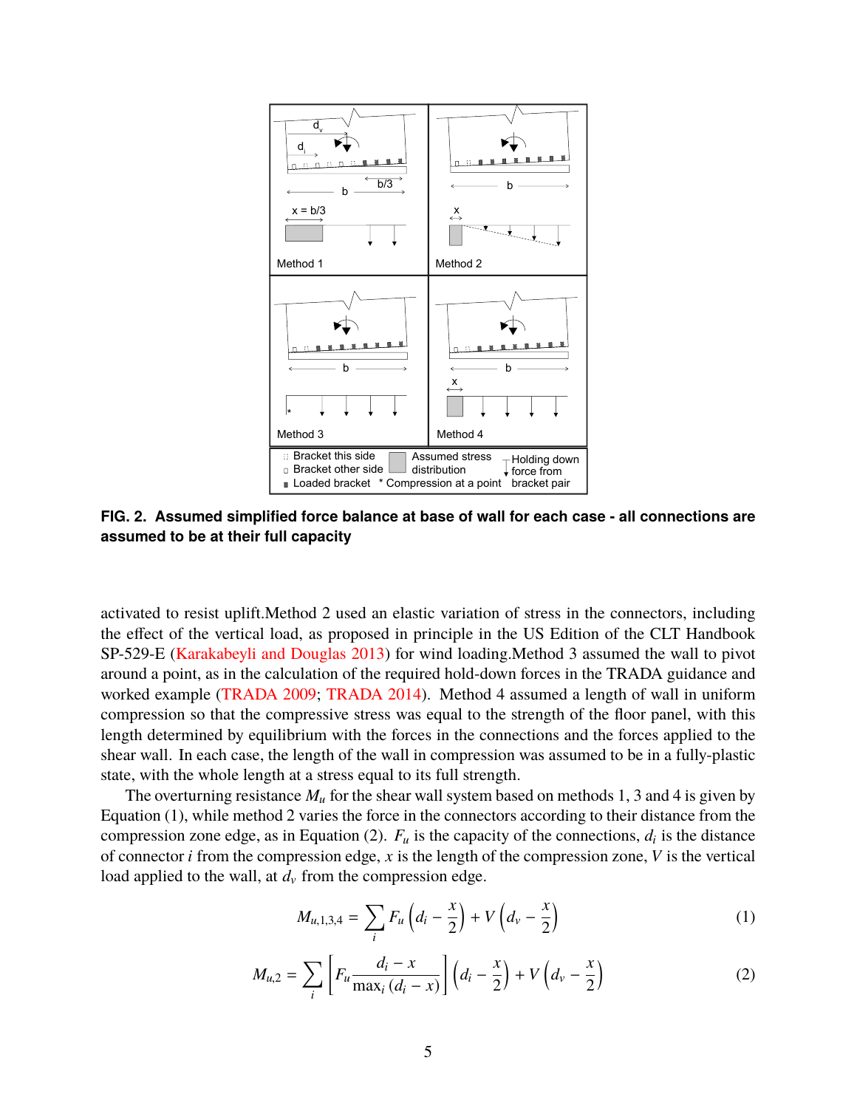

<span id="page-5-0"></span>**FIG. 2. Assumed simplified force balance at base of wall for each case - all connections are assumed to be at their full capacity**

activated to resist uplift.Method 2 used an elastic variation of stress in the connectors, including the effect of the vertical load, as proposed in principle in the US Edition of the CLT Handbook SP-529-E [\(Karakabeyli and Douglas 2013\)](#page-10-14) for wind loading.Method 3 assumed the wall to pivot around a point, as in the calculation of the required hold-down forces in the TRADA guidance and worked example [\(TRADA 2009;](#page-10-15) [TRADA 2014\)](#page-10-16). Method 4 assumed a length of wall in uniform compression so that the compressive stress was equal to the strength of the floor panel, with this length determined by equilibrium with the forces in the connections and the forces applied to the shear wall. In each case, the length of the wall in compression was assumed to be in a fully-plastic state, with the whole length at a stress equal to its full strength.

The overturning resistance *M<sup>u</sup>* for the shear wall system based on methods 1, 3 and 4 is given by Equation [\(1\)](#page-5-1), while method 2 varies the force in the connectors according to their distance from the compression zone edge, as in Equation [\(2\)](#page-5-2).  $F_u$  is the capacity of the connections,  $d_i$  is the distance of connector *i* from the compression edge, *x* is the length of the compression zone, *V* is the vertical load applied to the wall, at  $d<sub>v</sub>$  from the compression edge.

<span id="page-5-1"></span>
$$
M_{u,1,3,4} = \sum_{i} F_u \left( d_i - \frac{x}{2} \right) + V \left( d_v - \frac{x}{2} \right) \tag{1}
$$

<span id="page-5-2"></span>
$$
M_{u,2} = \sum_{i} \left[ F_u \frac{d_i - x}{\max_i (d_i - x)} \right] \left( d_i - \frac{x}{2} \right) + V \left( d_v - \frac{x}{2} \right) \tag{2}
$$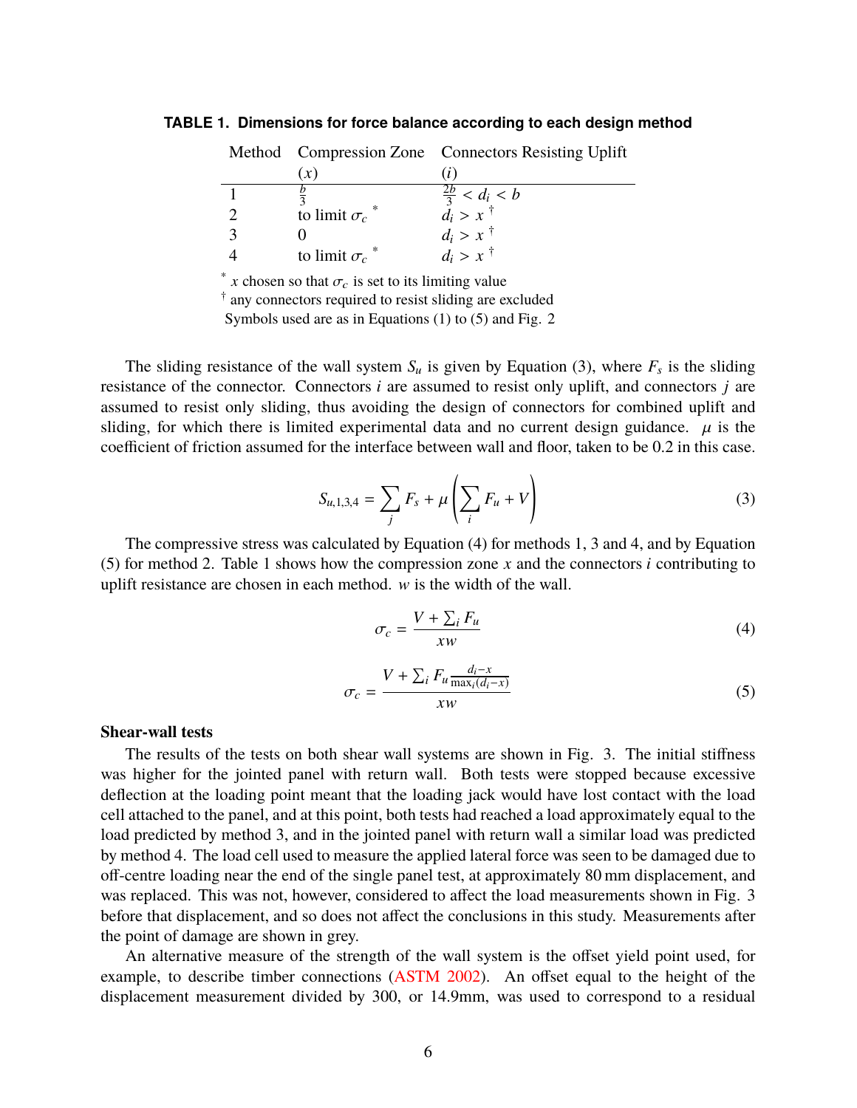<span id="page-6-0"></span>

|                                                                   |                     | Method Compression Zone Connectors Resisting Uplift |  |  |  |
|-------------------------------------------------------------------|---------------------|-----------------------------------------------------|--|--|--|
|                                                                   | (x)                 | (i)                                                 |  |  |  |
|                                                                   |                     | $\frac{2b}{3} < d_i < b$<br>$d_i > x$ <sup>†</sup>  |  |  |  |
| 2                                                                 | to limit $\sigma_c$ |                                                     |  |  |  |
| 3                                                                 |                     | $d_i > x$ <sup>†</sup>                              |  |  |  |
|                                                                   | to limit $\sigma_c$ | $d_i > x^{\dagger}$                                 |  |  |  |
| *.<br>x chosen so that $\sigma_c$ is set to its limiting value    |                     |                                                     |  |  |  |
| $\ddagger$ any connectors required to resist sliding are evoluded |                     |                                                     |  |  |  |

**TABLE 1. Dimensions for force balance according to each design method**

† any connectors required to resist sliding are excluded

Symbols used are as in Equations [\(1\)](#page-5-1) to [\(5\)](#page-6-1) and Fig. [2](#page-5-0)

The sliding resistance of the wall system  $S_u$  is given by Equation [\(3\)](#page-6-2), where  $F_s$  is the sliding resistance of the connector. Connectors *i* are assumed to resist only uplift, and connectors *j* are assumed to resist only sliding, thus avoiding the design of connectors for combined uplift and sliding, for which there is limited experimental data and no current design guidance.  $\mu$  is the coefficient of friction assumed for the interface between wall and floor, taken to be 0.2 in this case.

<span id="page-6-2"></span>
$$
S_{u,1,3,4} = \sum_{j} F_s + \mu \left( \sum_{i} F_u + V \right)
$$
 (3)

The compressive stress was calculated by Equation [\(4\)](#page-6-3) for methods 1, 3 and 4, and by Equation [\(5\)](#page-6-1) for method 2. Table [1](#page-6-0) shows how the compression zone *x* and the connectors *i* contributing to uplift resistance are chosen in each method. w is the width of the wall.

<span id="page-6-3"></span>
$$
\sigma_c = \frac{V + \sum_i F_u}{xw} \tag{4}
$$

<span id="page-6-1"></span>
$$
\sigma_c = \frac{V + \sum_i F_u \frac{d_i - x}{\max_i (d_i - x)}}{xw} \tag{5}
$$

#### **Shear-wall tests**

The results of the tests on both shear wall systems are shown in Fig. [3.](#page-7-0) The initial stiffness was higher for the jointed panel with return wall. Both tests were stopped because excessive deflection at the loading point meant that the loading jack would have lost contact with the load cell attached to the panel, and at this point, both tests had reached a load approximately equal to the load predicted by method 3, and in the jointed panel with return wall a similar load was predicted by method 4. The load cell used to measure the applied lateral force was seen to be damaged due to off-centre loading near the end of the single panel test, at approximately 80 mm displacement, and was replaced. This was not, however, considered to affect the load measurements shown in Fig. [3](#page-7-0) before that displacement, and so does not affect the conclusions in this study. Measurements after the point of damage are shown in grey.

An alternative measure of the strength of the wall system is the offset yield point used, for example, to describe timber connections [\(ASTM 2002\)](#page-9-6). An offset equal to the height of the displacement measurement divided by 300, or 14.9mm, was used to correspond to a residual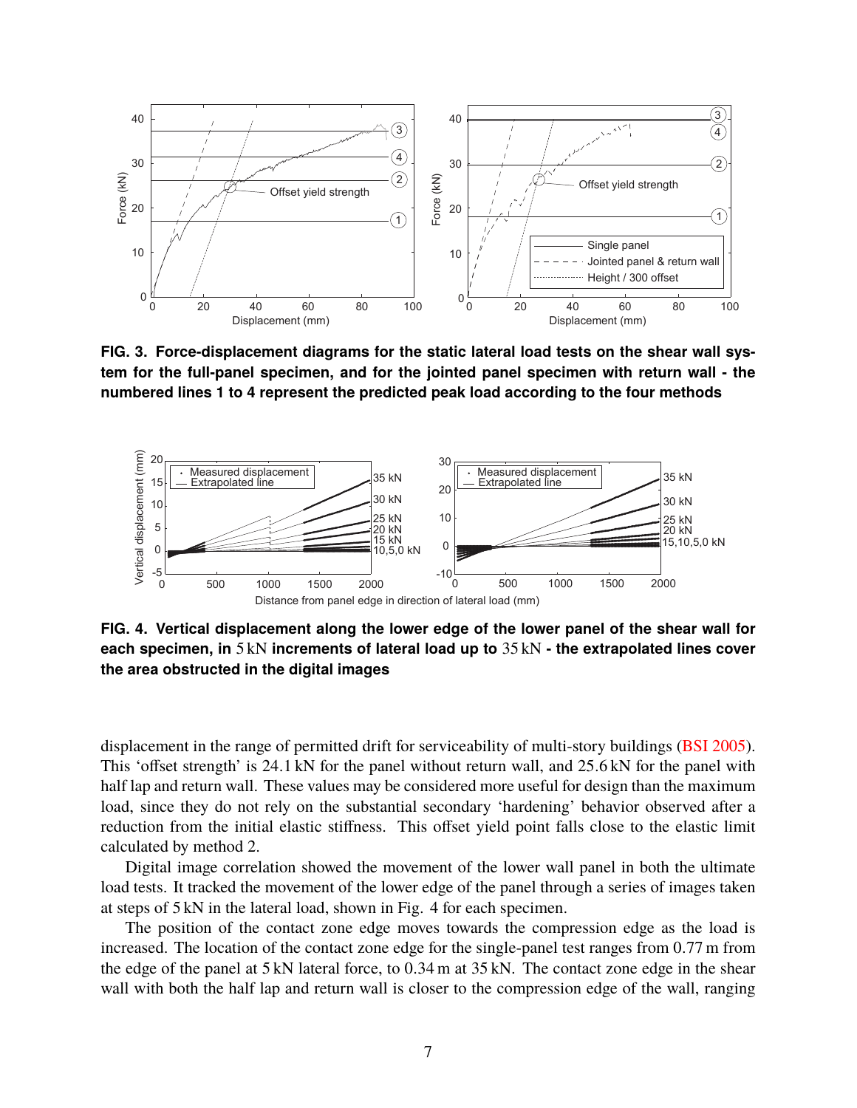

<span id="page-7-0"></span>**FIG. 3. Force-displacement diagrams for the static lateral load tests on the shear wall system for the full-panel specimen, and for the jointed panel specimen with return wall - the numbered lines 1 to 4 represent the predicted peak load according to the four methods**



<span id="page-7-1"></span>**FIG. 4. Vertical displacement along the lower edge of the lower panel of the shear wall for each specimen, in** 5 kN **increments of lateral load up to** 35 kN **- the extrapolated lines cover the area obstructed in the digital images**

displacement in the range of permitted drift for serviceability of multi-story buildings [\(BSI 2005\)](#page-9-7). This 'offset strength' is <sup>24</sup>.1 kN for the panel without return wall, and <sup>25</sup>.6 kN for the panel with half lap and return wall. These values may be considered more useful for design than the maximum load, since they do not rely on the substantial secondary 'hardening' behavior observed after a reduction from the initial elastic stiffness. This offset yield point falls close to the elastic limit calculated by method 2.

Digital image correlation showed the movement of the lower wall panel in both the ultimate load tests. It tracked the movement of the lower edge of the panel through a series of images taken at steps of 5 kN in the lateral load, shown in Fig. [4](#page-7-1) for each specimen.

The position of the contact zone edge moves towards the compression edge as the load is increased. The location of the contact zone edge for the single-panel test ranges from <sup>0</sup>.77 m from the edge of the panel at 5 kN lateral force, to <sup>0</sup>.34 m at 35 kN. The contact zone edge in the shear wall with both the half lap and return wall is closer to the compression edge of the wall, ranging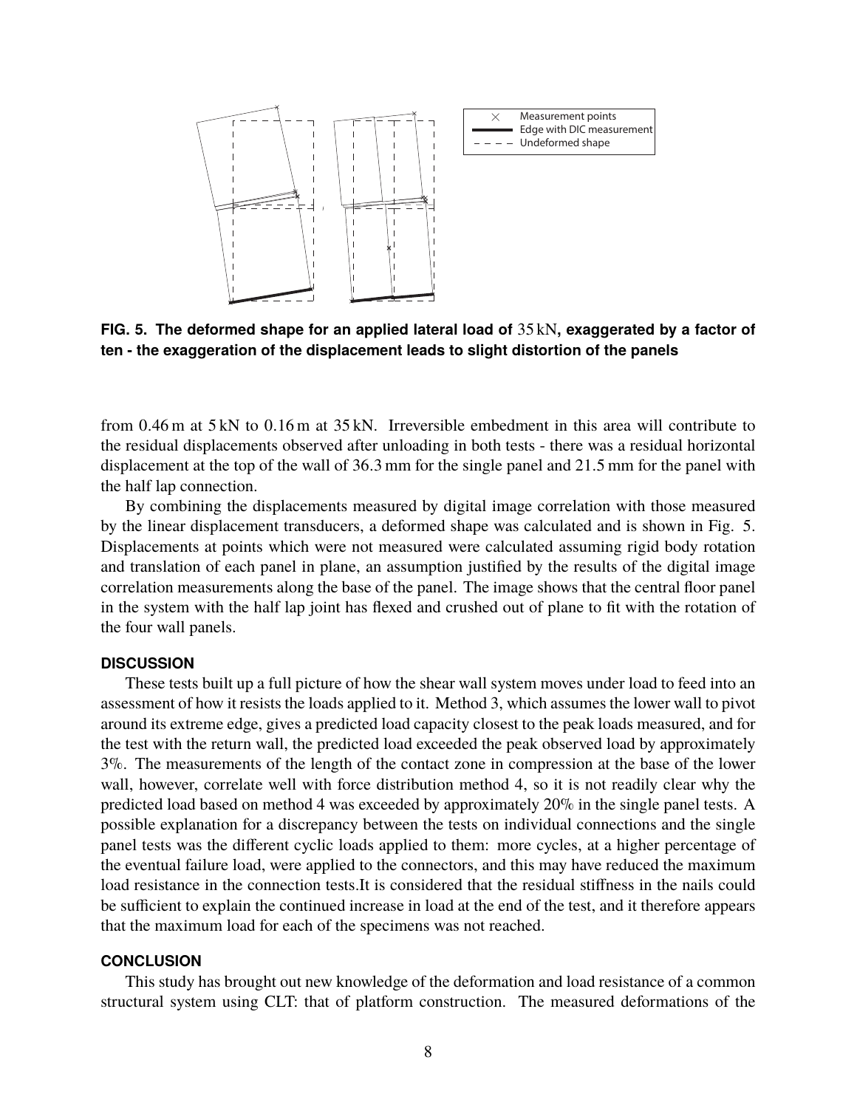

<span id="page-8-0"></span>**FIG. 5. The deformed shape for an applied lateral load of** 35 kN**, exaggerated by a factor of ten - the exaggeration of the displacement leads to slight distortion of the panels**

from <sup>0</sup>.46 m at 5 kN to <sup>0</sup>.16 m at 35 kN. Irreversible embedment in this area will contribute to the residual displacements observed after unloading in both tests - there was a residual horizontal displacement at the top of the wall of <sup>36</sup>.3 mm for the single panel and <sup>21</sup>.5 mm for the panel with the half lap connection.

By combining the displacements measured by digital image correlation with those measured by the linear displacement transducers, a deformed shape was calculated and is shown in Fig. [5.](#page-8-0) Displacements at points which were not measured were calculated assuming rigid body rotation and translation of each panel in plane, an assumption justified by the results of the digital image correlation measurements along the base of the panel. The image shows that the central floor panel in the system with the half lap joint has flexed and crushed out of plane to fit with the rotation of the four wall panels.

#### **DISCUSSION**

These tests built up a full picture of how the shear wall system moves under load to feed into an assessment of how it resists the loads applied to it. Method 3, which assumes the lower wall to pivot around its extreme edge, gives a predicted load capacity closest to the peak loads measured, and for the test with the return wall, the predicted load exceeded the peak observed load by approximately 3%. The measurements of the length of the contact zone in compression at the base of the lower wall, however, correlate well with force distribution method 4, so it is not readily clear why the predicted load based on method 4 was exceeded by approximately 20% in the single panel tests. A possible explanation for a discrepancy between the tests on individual connections and the single panel tests was the different cyclic loads applied to them: more cycles, at a higher percentage of the eventual failure load, were applied to the connectors, and this may have reduced the maximum load resistance in the connection tests.It is considered that the residual stiffness in the nails could be sufficient to explain the continued increase in load at the end of the test, and it therefore appears that the maximum load for each of the specimens was not reached.

### **CONCLUSION**

This study has brought out new knowledge of the deformation and load resistance of a common structural system using CLT: that of platform construction. The measured deformations of the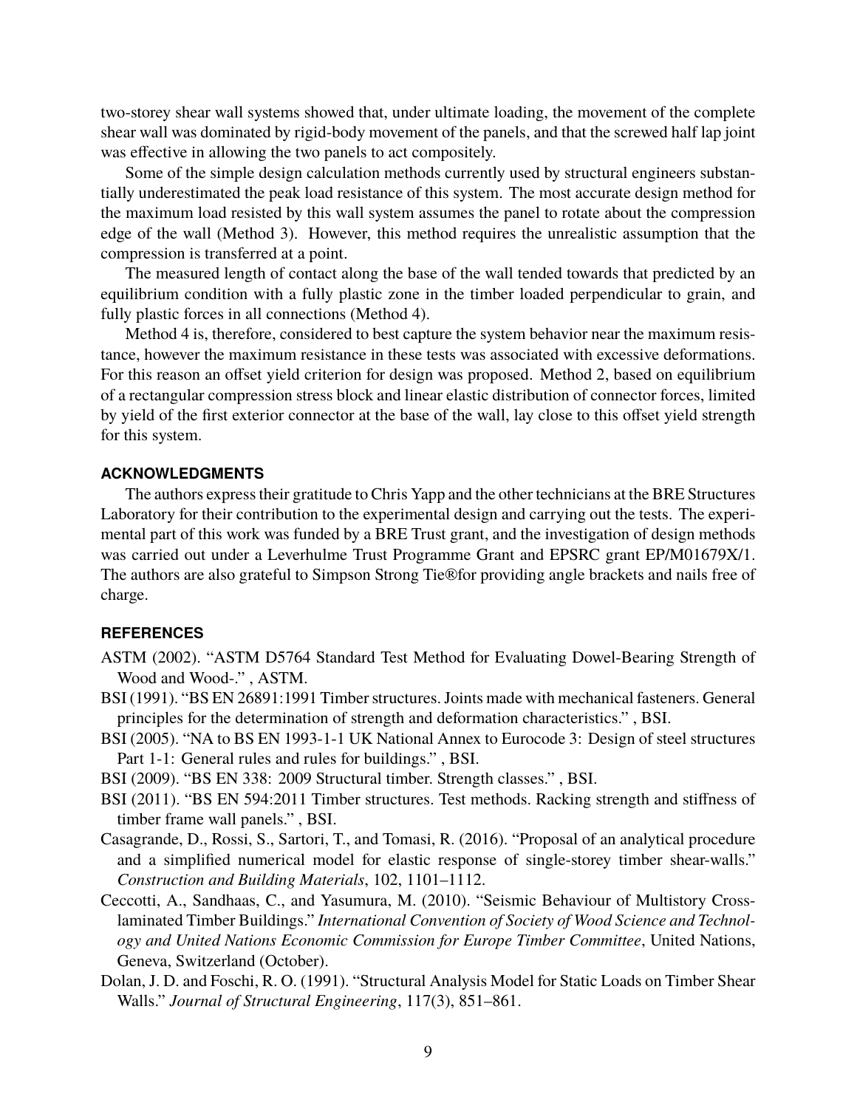two-storey shear wall systems showed that, under ultimate loading, the movement of the complete shear wall was dominated by rigid-body movement of the panels, and that the screwed half lap joint was effective in allowing the two panels to act compositely.

Some of the simple design calculation methods currently used by structural engineers substantially underestimated the peak load resistance of this system. The most accurate design method for the maximum load resisted by this wall system assumes the panel to rotate about the compression edge of the wall (Method 3). However, this method requires the unrealistic assumption that the compression is transferred at a point.

The measured length of contact along the base of the wall tended towards that predicted by an equilibrium condition with a fully plastic zone in the timber loaded perpendicular to grain, and fully plastic forces in all connections (Method 4).

Method 4 is, therefore, considered to best capture the system behavior near the maximum resistance, however the maximum resistance in these tests was associated with excessive deformations. For this reason an offset yield criterion for design was proposed. Method 2, based on equilibrium of a rectangular compression stress block and linear elastic distribution of connector forces, limited by yield of the first exterior connector at the base of the wall, lay close to this offset yield strength for this system.

## **ACKNOWLEDGMENTS**

The authors express their gratitude to Chris Yapp and the other technicians at the BRE Structures Laboratory for their contribution to the experimental design and carrying out the tests. The experimental part of this work was funded by a BRE Trust grant, and the investigation of design methods was carried out under a Leverhulme Trust Programme Grant and EPSRC grant EP/M01679X/1. The authors are also grateful to Simpson Strong Tie®for providing angle brackets and nails free of charge.

## **REFERENCES**

- <span id="page-9-6"></span>ASTM (2002). "ASTM D5764 Standard Test Method for Evaluating Dowel-Bearing Strength of Wood and Wood-." , ASTM.
- <span id="page-9-4"></span>BSI (1991). "BS EN 26891:1991 Timber structures. Joints made with mechanical fasteners. General principles for the determination of strength and deformation characteristics." , BSI.
- <span id="page-9-7"></span>BSI (2005). "NA to BS EN 1993-1-1 UK National Annex to Eurocode 3: Design of steel structures Part 1-1: General rules and rules for buildings." , BSI.
- <span id="page-9-3"></span>BSI (2009). "BS EN 338: 2009 Structural timber. Strength classes." , BSI.
- <span id="page-9-5"></span>BSI (2011). "BS EN 594:2011 Timber structures. Test methods. Racking strength and stiffness of timber frame wall panels." , BSI.
- <span id="page-9-1"></span>Casagrande, D., Rossi, S., Sartori, T., and Tomasi, R. (2016). "Proposal of an analytical procedure and a simplified numerical model for elastic response of single-storey timber shear-walls." *Construction and Building Materials*, 102, 1101–1112.
- <span id="page-9-0"></span>Ceccotti, A., Sandhaas, C., and Yasumura, M. (2010). "Seismic Behaviour of Multistory Crosslaminated Timber Buildings." *International Convention of Society of Wood Science and Technology and United Nations Economic Commission for Europe Timber Committee*, United Nations, Geneva, Switzerland (October).
- <span id="page-9-2"></span>Dolan, J. D. and Foschi, R. O. (1991). "Structural Analysis Model for Static Loads on Timber Shear Walls." *Journal of Structural Engineering*, 117(3), 851–861.